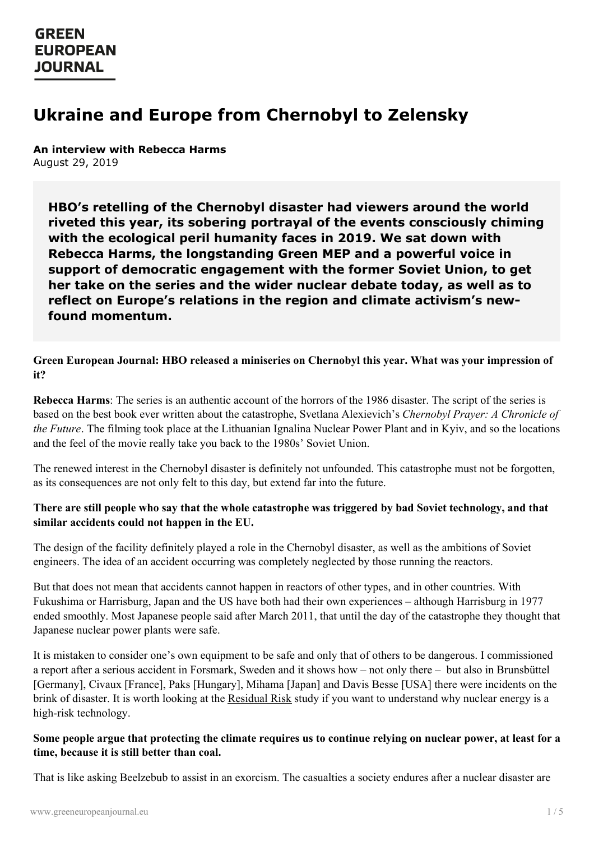## **GREEN EUROPEAN JOURNAL**

# **Ukraine and Europe from Chernobyl to Zelensky**

**An interview with Rebecca Harms** August 29, 2019

**HBO's retelling of the Chernobyl disaster had viewers around the world riveted this year, its sobering portrayal of the events consciously chiming with the ecological peril humanity faces in 2019. We sat down with Rebecca Harms, the longstanding Green MEP and a powerful voice in support of democratic engagement with the former Soviet Union, to get her take on the series and the wider nuclear debate today, as well as to reflect on Europe's relations in the region and climate activism's newfound momentum.**

### **Green European Journal: HBO released a miniseries on Chernobyl this year. What was your impression of it?**

**Rebecca Harms**: The series is an authentic account of the horrors of the 1986 disaster. The script of the series is based on the best book ever written about the catastrophe, Svetlana Alexievich's *Chernobyl Prayer: A Chronicle of the Future*. The filming took place at the Lithuanian Ignalina Nuclear Power Plant and in Kyiv, and so the locations and the feel of the movie really take you back to the 1980s' Soviet Union.

The renewed interest in the Chernobyl disaster is definitely not unfounded. This catastrophe must not be forgotten, as its consequences are not only felt to this day, but extend far into the future.

## There are still people who say that the whole catastrophe was triggered by bad Soviet technology, and that **similar accidents could not happen in the EU.**

The design of the facility definitely played a role in the Chernobyl disaster, as well as the ambitions of Soviet engineers. The idea of an accident occurring was completely neglected by those running the reactors.

But that does not mean that accidents cannot happen in reactors of other types, and in other countries. With Fukushima or Harrisburg, Japan and the US have both had their own experiences – although Harrisburg in 1977 ended smoothly. Most Japanese people said after March 2011, that until the day of the catastrophe they thought that Japanese nuclear power plants were safe.

It is mistaken to consider one's own equipment to be safe and only that of others to be dangerous. I commissioned a report after a serious accident in Forsmark, Sweden and it shows how – not only there – but also in Brunsbüttel [Germany], Civaux [France], Paks [Hungary], Mihama [Japan] and Davis Besse [USA] there were incidents on the brink of disaster. It is worth looking at the [Residual](https://rebecca-harms.de/post/residual-risk-restrisiko-ereignisse-in-atomkraftwerken-sei-46108) Risk study if you want to understand why nuclear energy is a high-risk [technology.](https://www.greeneuropeanjournal.eu)

## Some people argue that protecting the climate requires us to continue relying on nuclear power, at least for a **time, because it is still better than coal.**

That is like asking Beelzebub to assist in an exorcism. The casualties a society endures after a nuclear disaster are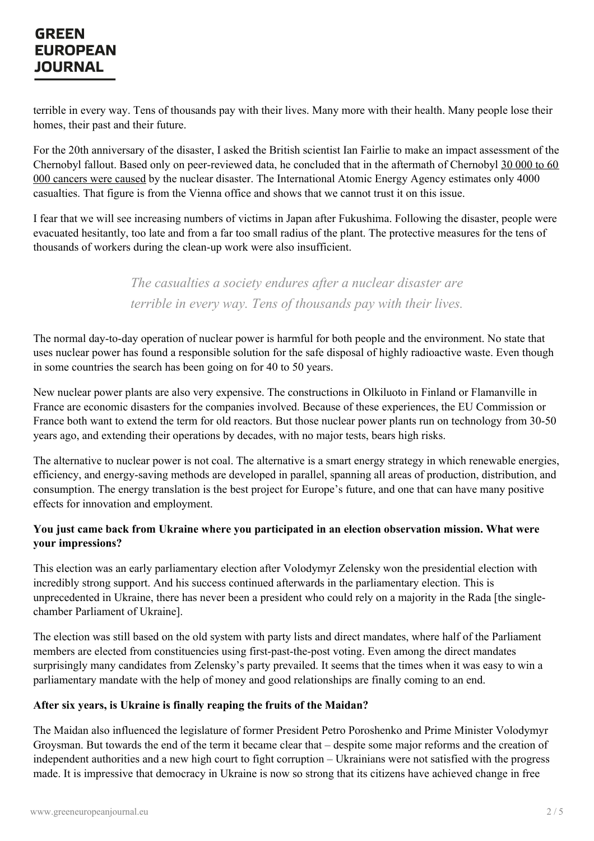## **GREEN EUROPEAN JOURNAL**

terrible in every way. Tens of thousands pay with their lives. Many more with their health. Many people lose their homes, their past and their future.

For the 20th anniversary of the disaster, I asked the British scientist Ian Fairlie to make an impact assessment of the Chernobyl fallout. Based only on [peer-reviewed](http://www.chernobylreport.org/) data, he concluded that in the aftermath of Chernobyl 30 000 to 60 000 cancers were caused by the nuclear disaster. The International Atomic Energy Agency estimates only 4000 casualties. That figure is from the Vienna office and shows that we cannot trust it on this issue.

I fear that we will see increasing numbers of victims in Japan after Fukushima. Following the disaster, people were evacuated hesitantly, too late and from a far too small radius of the plant. The protective measures for the tens of thousands of workers during the clean-up work were also insufficient.

> *The casualties a society endures after a nuclear disaster are terrible in every way. Tens of thousands pay with their lives.*

The normal day-to-day operation of nuclear power is harmful for both people and the environment. No state that uses nuclear power has found a responsible solution for the safe disposal of highly radioactive waste. Even though in some countries the search has been going on for 40 to 50 years.

New nuclear power plants are also very expensive. The constructions in Olkiluoto in Finland or Flamanville in France are economic disasters for the companies involved. Because of these experiences, the EU Commission or France both want to extend the term for old reactors. But those nuclear power plants run on technology from 30-50 years ago, and extending their operations by decades, with no major tests, bears high risks.

The alternative to nuclear power is not coal. The alternative is a smart energy strategy in which renewable energies, efficiency, and energy-saving methods are developed in parallel, spanning all areas of production, distribution, and consumption. The energy translation is the best project for Europe's future, and one that can have many positive effects for innovation and employment.

## **You just came back from Ukraine where you participated in an election observation mission. What were your impressions?**

This election was an early parliamentary election after Volodymyr Zelensky won the presidential election with incredibly strong support. And his success continued afterwards in the parliamentary election. This is unprecedented in Ukraine, there has never been a president who could rely on a majority in the Rada [the singlechamber Parliament of Ukraine].

The election was still based on the old system with party lists and direct mandates, where half of the Parliament members are elected from constituencies using first-past-the-post voting. Even among the direct mandates surprisingly many candidates from Zelensky's party prevailed. It seems that the times when it was easy to win a parliamentary mandate with the help of money and good relationships are finally coming to an end.

## **After six [years,](https://www.greeneuropeanjournal.eu) is Ukraine is finally reaping the fruits of the Maidan?**

The Maidan also influenced the legislature of former President Petro Poroshenko and Prime Minister Volodymyr Groysman. But towards the end of the term it became clear that – despite some major reforms and the creation of independent authorities and a new high court to fight corruption – Ukrainians were not satisfied with the progress made. It is impressive that democracy in Ukraine is now so strong that its citizens have achieved change in free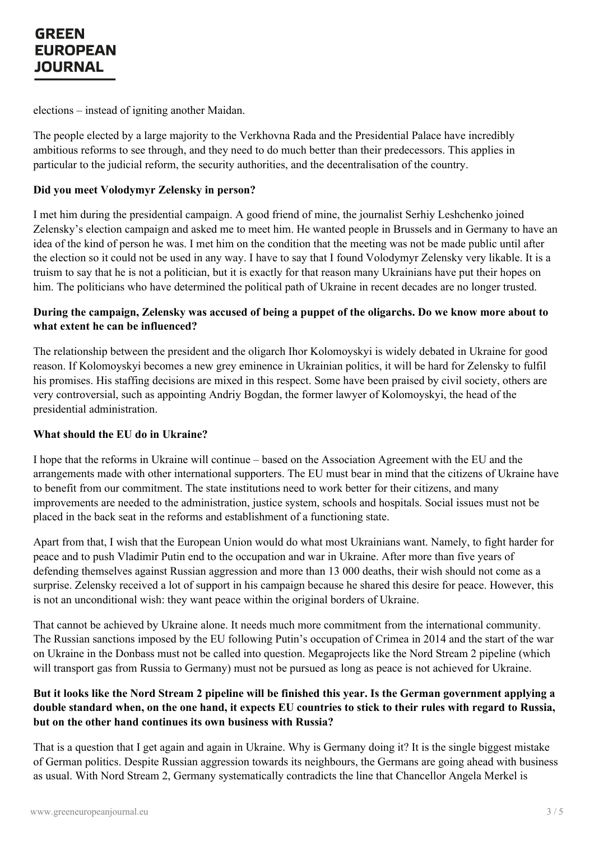elections – instead of igniting another Maidan.

The people elected by a large majority to the Verkhovna Rada and the Presidential Palace have incredibly ambitious reforms to see through, and they need to do much better than their predecessors. This applies in particular to the judicial reform, the security authorities, and the decentralisation of the country.

#### **Did you meet Volodymyr Zelensky in person?**

I met him during the presidential campaign. A good friend of mine, the journalist Serhiy Leshchenko joined Zelensky's election campaign and asked me to meet him. He wanted people in Brussels and in Germany to have an idea of the kind of person he was. I met him on the condition that the meeting was not be made public until after the election so it could not be used in any way. I have to say that I found Volodymyr Zelensky very likable. It is a truism to say that he is not a politician, but it is exactly for that reason many Ukrainians have put their hopes on him. The politicians who have determined the political path of Ukraine in recent decades are no longer trusted.

## During the campaign, Zelensky was accused of being a puppet of the oligarchs. Do we know more about to **what extent he can be influenced?**

The relationship between the president and the oligarch Ihor Kolomoyskyi is widely debated in Ukraine for good reason. If Kolomoyskyi becomes a new grey eminence in Ukrainian politics, it will be hard for Zelensky to fulfil his promises. His staffing decisions are mixed in this respect. Some have been praised by civil society, others are very controversial, such as appointing Andriy Bogdan, the former lawyer of Kolomoyskyi, the head of the presidential administration.

#### **What should the EU do in Ukraine?**

I hope that the reforms in Ukraine will continue – based on the Association Agreement with the EU and the arrangements made with other international supporters. The EU must bear in mind that the citizens of Ukraine have to benefit from our commitment. The state institutions need to work better for their citizens, and many improvements are needed to the administration, justice system, schools and hospitals. Social issues must not be placed in the back seat in the reforms and establishment of a functioning state.

Apart from that, I wish that the European Union would do what most Ukrainians want. Namely, to fight harder for peace and to push Vladimir Putin end to the occupation and war in Ukraine. After more than five years of defending themselves against Russian aggression and more than 13 000 deaths, their wish should not come as a surprise. Zelensky received a lot of support in his campaign because he shared this desire for peace. However, this is not an unconditional wish: they want peace within the original borders of Ukraine.

That cannot be achieved by Ukraine alone. It needs much more commitment from the international community. The Russian sanctions imposed by the EU following Putin's occupation of Crimea in 2014 and the start of the war on Ukraine in the Donbass must not be called into question. Megaprojects like the Nord Stream 2 pipeline (which will transport gas from Russia to Germany) must not be pursued as long as peace is not achieved for Ukraine.

## But it looks like the Nord Stream 2 pipeline will be finished this year. Is the German government applying a double [standard](https://www.greeneuropeanjournal.eu) when, on the one hand, it expects EU countries to stick to their rules with regard to Russia, **but on the other hand continues its own business with Russia?**

That is a question that I get again and again in Ukraine. Why is Germany doing it? It is the single biggest mistake of German politics. Despite Russian aggression towards its neighbours, the Germans are going ahead with business as usual. With Nord Stream 2, Germany systematically contradicts the line that Chancellor Angela Merkel is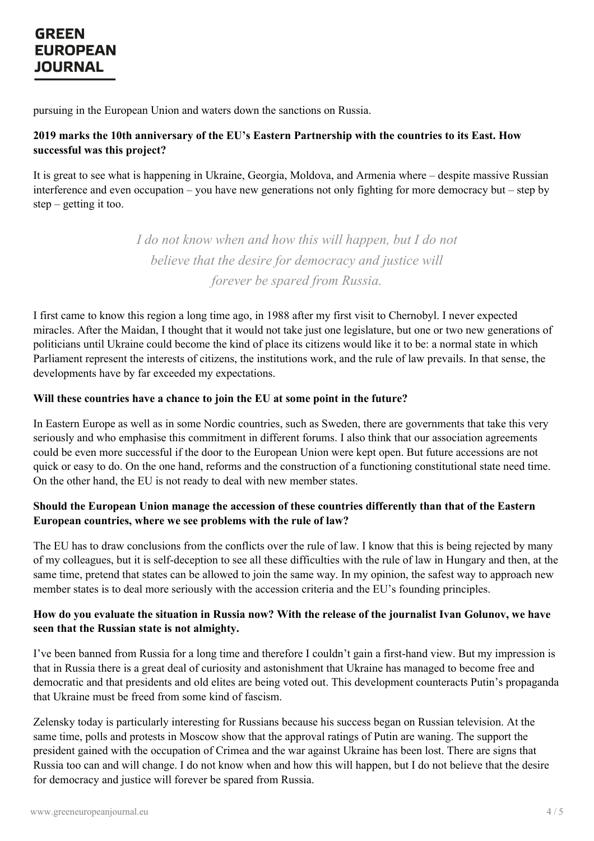## **GREEN EUROPEAN JOURNAL**

pursuing in the European Union and waters down the sanctions on Russia.

### **2019 marks the 10th anniversary of the EU's Eastern Partnership with the countries to its East. How successful was this project?**

It is great to see what is happening in Ukraine, Georgia, Moldova, and Armenia where – despite massive Russian interference and even occupation – you have new generations not only fighting for more democracy but – step by step  $-$  getting it too.

> *I do not know when and how this will happen, but I do not believe that the desire for democracy and justice will forever be spared from Russia.*

I first came to know this region a long time ago, in 1988 after my first visit to Chernobyl. I never expected miracles. After the Maidan, I thought that it would not take just one legislature, but one or two new generations of politicians until Ukraine could become the kind of place its citizens would like it to be: a normal state in which Parliament represent the interests of citizens, the institutions work, and the rule of law prevails. In that sense, the developments have by far exceeded my expectations.

#### **Will these countries have a chance to join the EU at some point in the future?**

In Eastern Europe as well as in some Nordic countries, such as Sweden, there are governments that take this very seriously and who emphasise this commitment in different forums. I also think that our association agreements could be even more successful if the door to the European Union were kept open. But future accessions are not quick or easy to do. On the one hand, reforms and the construction of a functioning constitutional state need time. On the other hand, the EU is not ready to deal with new member states.

## **Should the European Union manage the accession of these countries differently than that of the Eastern European countries, where we see problems with the rule of law?**

The EU has to draw conclusions from the conflicts over the rule of law. I know that this is being rejected by many of my colleagues, but it is self-deception to see all these difficulties with the rule of law in Hungary and then, at the same time, pretend that states can be allowed to join the same way. In my opinion, the safest way to approach new member states is to deal more seriously with the accession criteria and the EU's founding principles.

#### How do you evaluate the situation in Russia now? With the release of the journalist Ivan Golunov, we have **seen that the Russian state is not almighty.**

I've been banned from Russia for a long time and therefore I couldn't gain a first-hand view. But my impression is that in Russia there is a great deal of curiosity and astonishment that Ukraine has managed to become free and democratic and that presidents and old elites are being voted out. This development counteracts Putin's propaganda that [Ukraine](https://www.greeneuropeanjournal.eu) must be freed from some kind of fascism.

Zelensky today is particularly interesting for Russians because his success began on Russian television. At the same time, polls and protests in Moscow show that the approval ratings of Putin are waning. The support the president gained with the occupation of Crimea and the war against Ukraine has been lost. There are signs that Russia too can and will change. I do not know when and how this will happen, but I do not believe that the desire for democracy and justice will forever be spared from Russia.